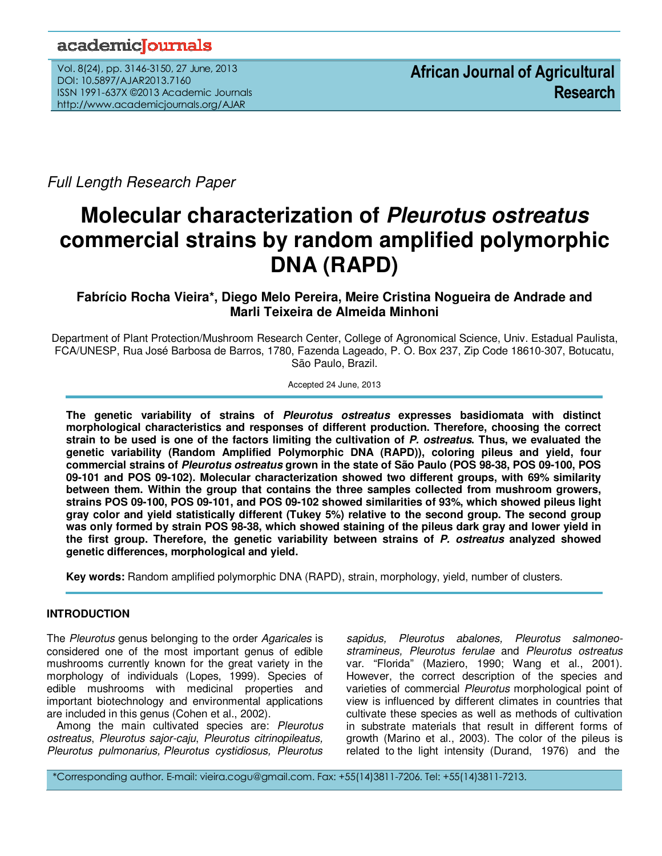## academiclournals

Vol. 8(24), pp. 3146-3150, 27 June, 2013 DOI: 10.5897/AJAR2013.7160 ISSN 1991-637X ©2013 Academic Journals http://www.academicjournals.org/AJAR

Full Length Research Paper

# **Molecular characterization of Pleurotus ostreatus commercial strains by random amplified polymorphic DNA (RAPD)**

### **Fabrício Rocha Vieira\*, Diego Melo Pereira, Meire Cristina Nogueira de Andrade and Marli Teixeira de Almeida Minhoni**

Department of Plant Protection/Mushroom Research Center, College of Agronomical Science, Univ. Estadual Paulista, FCA/UNESP, Rua José Barbosa de Barros, 1780, Fazenda Lageado, P. O. Box 237, Zip Code 18610-307, Botucatu, São Paulo, Brazil.

Accepted 24 June, 2013

**The genetic variability of strains of Pleurotus ostreatus expresses basidiomata with distinct morphological characteristics and responses of different production. Therefore, choosing the correct strain to be used is one of the factors limiting the cultivation of P. ostreatus. Thus, we evaluated the genetic variability (Random Amplified Polymorphic DNA (RAPD)), coloring pileus and yield, four commercial strains of Pleurotus ostreatus grown in the state of São Paulo (POS 98-38, POS 09-100, POS 09-101 and POS 09-102). Molecular characterization showed two different groups, with 69% similarity between them. Within the group that contains the three samples collected from mushroom growers, strains POS 09-100, POS 09-101, and POS 09-102 showed similarities of 93%, which showed pileus light gray color and yield statistically different (Tukey 5%) relative to the second group. The second group was only formed by strain POS 98-38, which showed staining of the pileus dark gray and lower yield in the first group. Therefore, the genetic variability between strains of P. ostreatus analyzed showed genetic differences, morphological and yield.** 

**Key words:** Random amplified polymorphic DNA (RAPD), strain, morphology, yield, number of clusters.

#### **INTRODUCTION**

The Pleurotus genus belonging to the order Agaricales is considered one of the most important genus of edible mushrooms currently known for the great variety in the morphology of individuals (Lopes, 1999). Species of edible mushrooms with medicinal properties and important biotechnology and environmental applications are included in this genus (Cohen et al., 2002).

Among the main cultivated species are: Pleurotus ostreatus, Pleurotus sajor-caju, Pleurotus citrinopileatus, Pleurotus pulmonarius, Pleurotus cystidiosus, Pleurotus

sapidus, Pleurotus abalones, Pleurotus salmoneostramineus, Pleurotus ferulae and Pleurotus ostreatus var. "Florida" (Maziero, 1990; Wang et al., 2001). However, the correct description of the species and varieties of commercial Pleurotus morphological point of view is influenced by different climates in countries that cultivate these species as well as methods of cultivation in substrate materials that result in different forms of growth (Marino et al., 2003). The color of the pileus is related to the light intensity (Durand, 1976) and the

\*Corresponding author. E-mail: vieira.cogu@gmail.com. Fax: +55(14)3811-7206. Tel: +55(14)3811-7213.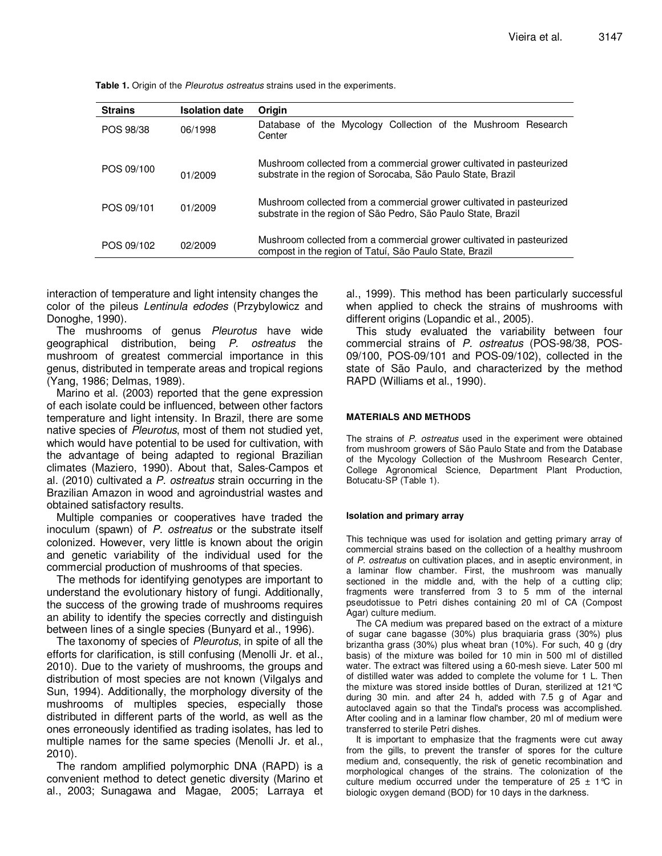| <b>Strains</b> | <b>Isolation date</b> | Origin                                                                                                                                 |
|----------------|-----------------------|----------------------------------------------------------------------------------------------------------------------------------------|
| POS 98/38      | 06/1998               | Database of the Mycology Collection of the Mushroom Research<br>Center                                                                 |
| POS 09/100     | 01/2009               | Mushroom collected from a commercial grower cultivated in pasteurized<br>substrate in the region of Sorocaba, São Paulo State, Brazil  |
| POS 09/101     | 01/2009               | Mushroom collected from a commercial grower cultivated in pasteurized<br>substrate in the region of São Pedro, São Paulo State, Brazil |
| POS 09/102     | 02/2009               | Mushroom collected from a commercial grower cultivated in pasteurized<br>compost in the region of Tatuí, São Paulo State, Brazil       |

**Table 1.** Origin of the Pleurotus ostreatus strains used in the experiments.

interaction of temperature and light intensity changes the color of the pileus Lentinula edodes (Przybylowicz and Donoghe, 1990).

The mushrooms of genus Pleurotus have wide geographical distribution, being P. ostreatus the mushroom of greatest commercial importance in this genus, distributed in temperate areas and tropical regions (Yang, 1986; Delmas, 1989).

Marino et al. (2003) reported that the gene expression of each isolate could be influenced, between other factors temperature and light intensity. In Brazil, there are some native species of Pleurotus, most of them not studied yet, which would have potential to be used for cultivation, with the advantage of being adapted to regional Brazilian climates (Maziero, 1990). About that, Sales-Campos et al. (2010) cultivated a P. ostreatus strain occurring in the Brazilian Amazon in wood and agroindustrial wastes and obtained satisfactory results.

Multiple companies or cooperatives have traded the inoculum (spawn) of P. ostreatus or the substrate itself colonized. However, very little is known about the origin and genetic variability of the individual used for the commercial production of mushrooms of that species.

The methods for identifying genotypes are important to understand the evolutionary history of fungi. Additionally, the success of the growing trade of mushrooms requires an ability to identify the species correctly and distinguish between lines of a single species (Bunyard et al., 1996).

The taxonomy of species of Pleurotus, in spite of all the efforts for clarification, is still confusing (Menolli Jr. et al., 2010). Due to the variety of mushrooms, the groups and distribution of most species are not known (Vilgalys and Sun, 1994). Additionally, the morphology diversity of the mushrooms of multiples species, especially those distributed in different parts of the world, as well as the ones erroneously identified as trading isolates, has led to multiple names for the same species (Menolli Jr. et al., 2010).

The random amplified polymorphic DNA (RAPD) is a convenient method to detect genetic diversity (Marino et al., 2003; Sunagawa and Magae, 2005; Larraya et al., 1999). This method has been particularly successful when applied to check the strains of mushrooms with different origins (Lopandic et al., 2005).

This study evaluated the variability between four commercial strains of P. ostreatus (POS-98/38, POS-09/100, POS-09/101 and POS-09/102), collected in the state of São Paulo, and characterized by the method RAPD (Williams et al., 1990).

#### **MATERIALS AND METHODS**

The strains of P. ostreatus used in the experiment were obtained from mushroom growers of São Paulo State and from the Database of the Mycology Collection of the Mushroom Research Center, College Agronomical Science, Department Plant Production, Botucatu-SP (Table 1).

#### **Isolation and primary array**

This technique was used for isolation and getting primary array of commercial strains based on the collection of a healthy mushroom of P. ostreatus on cultivation places, and in aseptic environment, in a laminar flow chamber. First, the mushroom was manually sectioned in the middle and, with the help of a cutting clip; fragments were transferred from 3 to 5 mm of the internal pseudotissue to Petri dishes containing 20 ml of CA (Compost Agar) culture medium.

The CA medium was prepared based on the extract of a mixture of sugar cane bagasse (30%) plus braquiaria grass (30%) plus brizantha grass (30%) plus wheat bran (10%). For such, 40 g (dry basis) of the mixture was boiled for 10 min in 500 ml of distilled water. The extract was filtered using a 60-mesh sieve. Later 500 ml of distilled water was added to complete the volume for 1 L. Then the mixture was stored inside bottles of Duran, sterilized at 121°C during 30 min. and after 24 h, added with 7.5 g of Agar and autoclaved again so that the Tindal's process was accomplished. After cooling and in a laminar flow chamber, 20 ml of medium were transferred to sterile Petri dishes.

It is important to emphasize that the fragments were cut away from the gills, to prevent the transfer of spores for the culture medium and, consequently, the risk of genetic recombination and morphological changes of the strains. The colonization of the culture medium occurred under the temperature of  $25 \pm 1^{\circ}C$  in biologic oxygen demand (BOD) for 10 days in the darkness.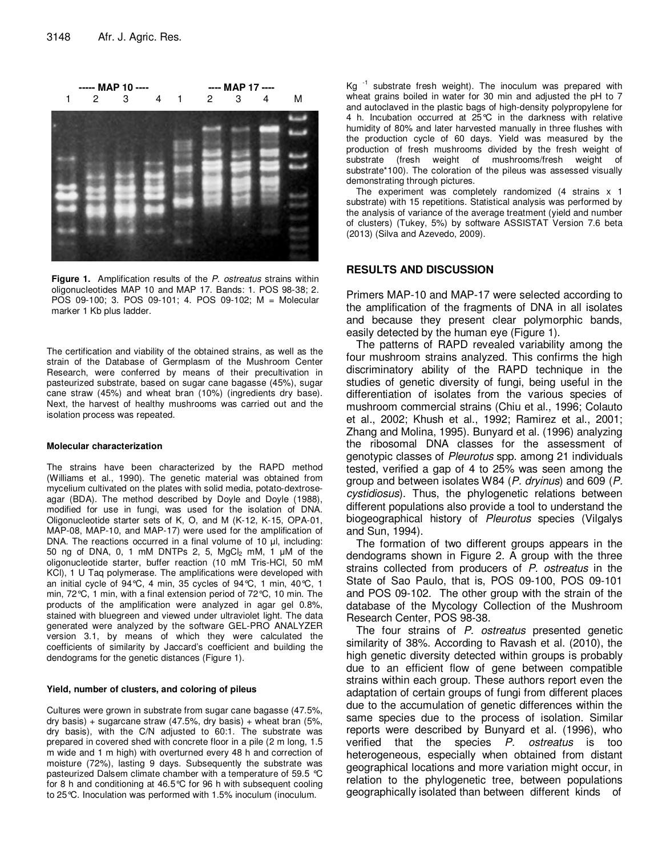

Figure 1. Amplification results of the P. ostreatus strains within oligonucleotides MAP 10 and MAP 17. Bands: 1. POS 98-38; 2. POS 09-100; 3. POS 09-101; 4. POS 09-102; M = Molecular marker 1 Kb plus ladder.

The certification and viability of the obtained strains, as well as the strain of the Database of Germplasm of the Mushroom Center Research, were conferred by means of their precultivation in pasteurized substrate, based on sugar cane bagasse (45%), sugar cane straw (45%) and wheat bran (10%) (ingredients dry base). Next, the harvest of healthy mushrooms was carried out and the isolation process was repeated.

#### **Molecular characterization**

The strains have been characterized by the RAPD method (Williams et al., 1990). The genetic material was obtained from mycelium cultivated on the plates with solid media, potato-dextroseagar (BDA). The method described by Doyle and Doyle (1988), modified for use in fungi, was used for the isolation of DNA. Oligonucleotide starter sets of K, O, and M (K-12, K-15, OPA-01, MAP-08, MAP-10, and MAP-17) were used for the amplification of DNA. The reactions occurred in a final volume of 10 µl, including: 50 ng of DNA, 0, 1 mM DNTPs 2, 5,  $MgCl<sub>2</sub>$  mM, 1  $\mu$ M of the oligonucleotide starter, buffer reaction (10 mM Tris-HCl, 50 mM KCl), 1 U Taq polymerase. The amplifications were developed with an initial cycle of 94°C, 4 min, 35 cycles of 94°C, 1 min, 40°C, 1 min, 72°C, 1 min, with a final extension period of 72°C, 10 min. The products of the amplification were analyzed in agar gel 0.8%, stained with bluegreen and viewed under ultraviolet light. The data generated were analyzed by the software GEL-PRO ANALYZER version 3.1, by means of which they were calculated the coefficients of similarity by Jaccard's coefficient and building the dendograms for the genetic distances (Figure 1).

#### **Yield, number of clusters, and coloring of pileus**

Cultures were grown in substrate from sugar cane bagasse (47.5%, dry basis) + sugarcane straw  $(47.5\%$ , dry basis) + wheat bran  $(5\%$ , dry basis), with the C/N adjusted to 60:1. The substrate was prepared in covered shed with concrete floor in a pile (2 m long, 1.5 m wide and 1 m high) with overturned every 48 h and correction of moisture (72%), lasting 9 days. Subsequently the substrate was pasteurized Dalsem climate chamber with a temperature of 59.5 °C for 8 h and conditioning at 46.5°C for 96 h with subsequent cooling to 25°C. Inoculation was performed with 1.5% inoculum (inoculum.

Kg  $^{-1}$  substrate fresh weight). The inoculum was prepared with wheat grains boiled in water for 30 min and adjusted the pH to 7 and autoclaved in the plastic bags of high-density polypropylene for 4 h. Incubation occurred at 25°C in the darkness with relative humidity of 80% and later harvested manually in three flushes with the production cycle of 60 days. Yield was measured by the production of fresh mushrooms divided by the fresh weight of substrate (fresh weight of mushrooms/fresh weight of substrate\*100). The coloration of the pileus was assessed visually demonstrating through pictures.

The experiment was completely randomized (4 strains x 1 substrate) with 15 repetitions. Statistical analysis was performed by the analysis of variance of the average treatment (yield and number of clusters) (Tukey, 5%) by software ASSISTAT Version 7.6 beta (2013) (Silva and Azevedo, 2009).

#### **RESULTS AND DISCUSSION**

Primers MAP-10 and MAP-17 were selected according to the amplification of the fragments of DNA in all isolates and because they present clear polymorphic bands, easily detected by the human eye (Figure 1).

The patterns of RAPD revealed variability among the four mushroom strains analyzed. This confirms the high discriminatory ability of the RAPD technique in the studies of genetic diversity of fungi, being useful in the differentiation of isolates from the various species of mushroom commercial strains (Chiu et al., 1996; Colauto et al., 2002; Khush et al., 1992; Ramirez et al., 2001; Zhang and Molina, 1995). Bunyard et al. (1996) analyzing the ribosomal DNA classes for the assessment of genotypic classes of Pleurotus spp. among 21 individuals tested, verified a gap of 4 to 25% was seen among the group and between isolates W84 (P. dryinus) and 609 (P. cystidiosus). Thus, the phylogenetic relations between different populations also provide a tool to understand the biogeographical history of Pleurotus species (Vilgalys and Sun, 1994).

The formation of two different groups appears in the dendograms shown in Figure 2. A group with the three strains collected from producers of P. ostreatus in the State of Sao Paulo, that is, POS 09-100, POS 09-101 and POS 09-102. The other group with the strain of the database of the Mycology Collection of the Mushroom Research Center, POS 98-38.

The four strains of P. ostreatus presented genetic similarity of 38%. According to Ravash et al. (2010), the high genetic diversity detected within groups is probably due to an efficient flow of gene between compatible strains within each group. These authors report even the adaptation of certain groups of fungi from different places due to the accumulation of genetic differences within the same species due to the process of isolation. Similar reports were described by Bunyard et al. (1996), who verified that the species P. ostreatus is too heterogeneous, especially when obtained from distant geographical locations and more variation might occur, in relation to the phylogenetic tree, between populations geographically isolated than between different kinds of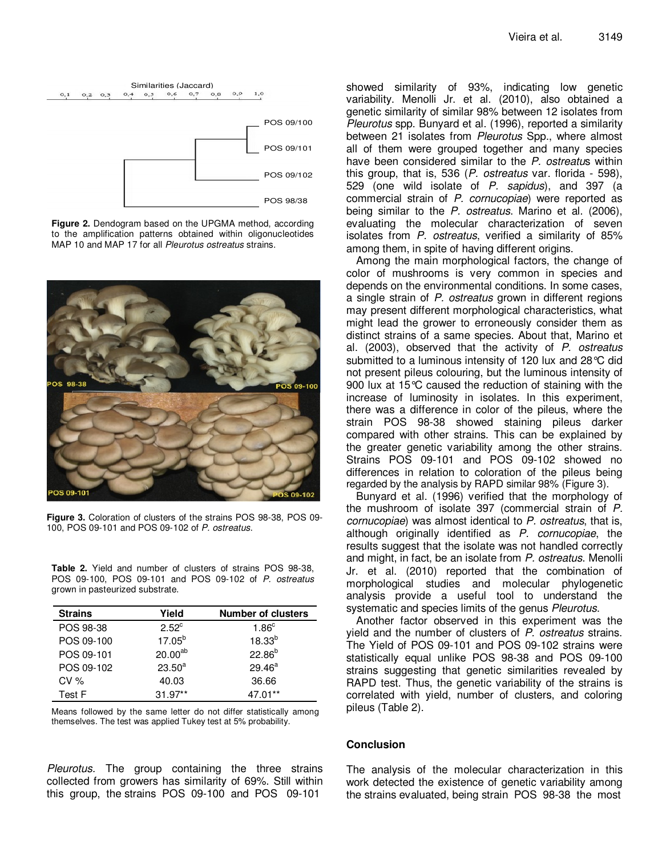

**Figure 2.** Dendogram based on the UPGMA method, according to the amplification patterns obtained within oligonucleotides MAP 10 and MAP 17 for all Pleurotus ostreatus strains.



**Figure 3.** Coloration of clusters of the strains POS 98-38, POS 09- 100, POS 09-101 and POS 09-102 of P. ostreatus.

**Table 2.** Yield and number of clusters of strains POS 98-38, POS 09-100, POS 09-101 and POS 09-102 of P. ostreatus grown in pasteurized substrate.

| <b>Strains</b> | Yield               | <b>Number of clusters</b> |
|----------------|---------------------|---------------------------|
| POS 98-38      | $2.52^{\circ}$      | 1.86 <sup>c</sup>         |
| POS 09-100     | $17.05^{b}$         | $18.33^{b}$               |
| POS 09-101     | 20.00 <sup>ab</sup> | $22.86^{b}$               |
| POS 09-102     | $23.50^{a}$         | $29.46^a$                 |
| CV%            | 40.03               | 36.66                     |
| Test F         | $31.97**$           | 47.01**                   |

Means followed by the same letter do not differ statistically among themselves. The test was applied Tukey test at 5% probability.

Pleurotus. The group containing the three strains collected from growers has similarity of 69%. Still within this group, the strains POS 09-100 and POS 09-101

showed similarity of 93%, indicating low genetic variability. Menolli Jr. et al. (2010), also obtained a genetic similarity of similar 98% between 12 isolates from Pleurotus spp. Bunyard et al. (1996), reported a similarity between 21 isolates from Pleurotus Spp., where almost all of them were grouped together and many species have been considered similar to the P. ostreatus within this group, that is, 536 (P. ostreatus var. florida - 598), 529 (one wild isolate of P. sapidus), and 397 (a commercial strain of P. cornucopiae) were reported as being similar to the P. ostreatus. Marino et al. (2006), evaluating the molecular characterization of seven isolates from P. ostreatus, verified a similarity of 85% among them, in spite of having different origins.

Among the main morphological factors, the change of color of mushrooms is very common in species and depends on the environmental conditions. In some cases, a single strain of P. ostreatus grown in different regions may present different morphological characteristics, what might lead the grower to erroneously consider them as distinct strains of a same species. About that, Marino et al. (2003), observed that the activity of P. ostreatus submitted to a luminous intensity of 120 lux and 28°C did not present pileus colouring, but the luminous intensity of 900 lux at 15°C caused the reduction of staining with the increase of luminosity in isolates. In this experiment, there was a difference in color of the pileus, where the strain POS 98-38 showed staining pileus darker compared with other strains. This can be explained by the greater genetic variability among the other strains. Strains POS 09-101 and POS 09-102 showed no differences in relation to coloration of the pileus being regarded by the analysis by RAPD similar 98% (Figure 3).

Bunyard et al. (1996) verified that the morphology of the mushroom of isolate 397 (commercial strain of P. cornucopiae) was almost identical to P. ostreatus, that is, although originally identified as P. cornucopiae, the results suggest that the isolate was not handled correctly and might, in fact, be an isolate from P. ostreatus. Menolli Jr. et al. (2010) reported that the combination of morphological studies and molecular phylogenetic analysis provide a useful tool to understand the systematic and species limits of the genus *Pleurotus*.

Another factor observed in this experiment was the yield and the number of clusters of P. ostreatus strains. The Yield of POS 09-101 and POS 09-102 strains were statistically equal unlike POS 98-38 and POS 09-100 strains suggesting that genetic similarities revealed by RAPD test. Thus, the genetic variability of the strains is correlated with yield, number of clusters, and coloring pileus (Table 2).

#### **Conclusion**

The analysis of the molecular characterization in this work detected the existence of genetic variability among the strains evaluated, being strain POS 98-38 the most